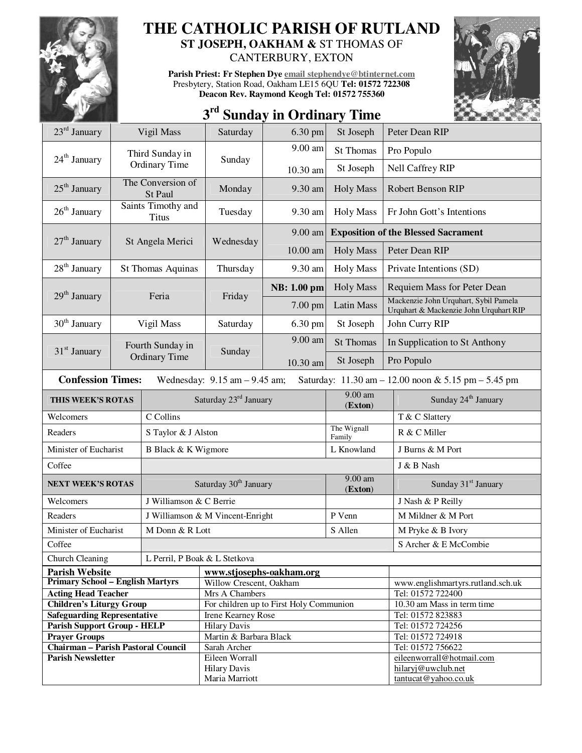

## **THE CATHOLIC PARISH OF RUTLAND ST JOSEPH, OAKHAM &** ST THOMAS OF

CANTERBURY, EXTON

**Parish Priest: Fr Stephen Dye email stephendye@btinternet.com** Presbytery, Station Road, Oakham LE15 6QU **Tel: 01572 722308 Deacon Rev. Raymond Keogh Tel: 01572 755360** 



## **3 rd Sunday in Ordinary Time**

| $23rd$ January                                                                                                      | Vigil Mass                         |                                  | Saturday                                                             | 6.30 pm             | St Joseph                                  | Peter Dean RIP                                                                  |  |
|---------------------------------------------------------------------------------------------------------------------|------------------------------------|----------------------------------|----------------------------------------------------------------------|---------------------|--------------------------------------------|---------------------------------------------------------------------------------|--|
| 24 <sup>th</sup> January                                                                                            | Third Sunday in                    |                                  | Sunday                                                               | 9.00 am             | <b>St Thomas</b>                           | Pro Populo                                                                      |  |
|                                                                                                                     |                                    | Ordinary Time                    |                                                                      | 10.30 am            | St Joseph                                  | <b>Nell Caffrey RIP</b>                                                         |  |
| $25th$ January                                                                                                      | The Conversion of<br>St Paul       |                                  | Monday                                                               | 9.30 am             | <b>Holy Mass</b>                           | Robert Benson RIP                                                               |  |
| $26th$ January                                                                                                      | Saints Timothy and<br><b>Titus</b> |                                  | Tuesday                                                              | 9.30 am             | <b>Holy Mass</b>                           | Fr John Gott's Intentions                                                       |  |
|                                                                                                                     |                                    |                                  | Wednesday                                                            | 9.00 am             | <b>Exposition of the Blessed Sacrament</b> |                                                                                 |  |
| $27th$ January                                                                                                      | St Angela Merici                   |                                  |                                                                      | $10.00$ am          | <b>Holy Mass</b>                           | Peter Dean RIP                                                                  |  |
| $28th$ January                                                                                                      | St Thomas Aquinas                  |                                  | Thursday                                                             | 9.30 am             | <b>Holy Mass</b>                           | Private Intentions (SD)                                                         |  |
| 29 <sup>th</sup> January                                                                                            |                                    | Feria                            | Friday                                                               | <b>NB</b> : 1.00 pm | <b>Holy Mass</b>                           | Requiem Mass for Peter Dean                                                     |  |
|                                                                                                                     |                                    |                                  |                                                                      | 7.00 pm             | Latin Mass                                 | Mackenzie John Urquhart, Sybil Pamela<br>Urquhart & Mackenzie John Urquhart RIP |  |
| $30th$ January                                                                                                      | Vigil Mass                         |                                  | Saturday                                                             | 6.30 pm             | St Joseph                                  | John Curry RIP                                                                  |  |
| $31st$ January                                                                                                      |                                    | Fourth Sunday in                 |                                                                      | 9.00 am             | <b>St Thomas</b>                           | In Supplication to St Anthony                                                   |  |
|                                                                                                                     |                                    | <b>Ordinary Time</b>             | Sunday                                                               | 10.30 am            | St Joseph                                  | Pro Populo                                                                      |  |
| <b>Confession Times:</b><br>Wednesday: $9.15$ am $-9.45$ am;<br>Saturday: 11.30 am - 12.00 noon & 5.15 pm - 5.45 pm |                                    |                                  |                                                                      |                     |                                            |                                                                                 |  |
| THIS WEEK'S ROTAS                                                                                                   |                                    |                                  | Saturday 23rd January                                                |                     | 9.00 am<br>(Exton)                         | Sunday 24 <sup>th</sup> January                                                 |  |
| C Collins<br>Welcomers                                                                                              |                                    |                                  |                                                                      |                     | T & C Slattery                             |                                                                                 |  |
| Readers                                                                                                             |                                    | S Taylor & J Alston              |                                                                      |                     | The Wignall<br>Family                      | R & C Miller                                                                    |  |
| Minister of Eucharist                                                                                               |                                    | B Black & K Wigmore              |                                                                      |                     | L Knowland                                 | J Burns & M Port                                                                |  |
| Coffee                                                                                                              |                                    |                                  |                                                                      |                     | J & B Nash                                 |                                                                                 |  |
| <b>NEXT WEEK'S ROTAS</b>                                                                                            |                                    |                                  | Saturday 30 <sup>th</sup> January                                    |                     | 9.00 am<br>(Exton)                         | Sunday 31 <sup>st</sup> January                                                 |  |
| Welcomers                                                                                                           |                                    | J Williamson & C Berrie          |                                                                      |                     |                                            | J Nash & P Reilly                                                               |  |
| Readers                                                                                                             |                                    | J Williamson & M Vincent-Enright |                                                                      |                     | P Venn                                     | M Mildner & M Port                                                              |  |
| Minister of Eucharist                                                                                               |                                    | M Donn & R Lott                  |                                                                      |                     | S Allen                                    | M Pryke & B Ivory                                                               |  |
| Coffee                                                                                                              |                                    |                                  |                                                                      |                     | S Archer & E McCombie                      |                                                                                 |  |
| Church Cleaning                                                                                                     |                                    | L Perril, P Boak & L Stetkova    |                                                                      |                     |                                            |                                                                                 |  |
| <b>Parish Website</b>                                                                                               |                                    |                                  | www.stjosephs-oakham.org                                             |                     |                                            |                                                                                 |  |
| <b>Primary School - English Martyrs</b>                                                                             |                                    |                                  | Willow Crescent, Oakham                                              |                     |                                            | www.englishmartyrs.rutland.sch.uk                                               |  |
| <b>Acting Head Teacher</b>                                                                                          |                                    |                                  | Mrs A Chambers                                                       |                     |                                            | Tel: 01572 722400                                                               |  |
| <b>Children's Liturgy Group</b><br><b>Safeguarding Representative</b>                                               |                                    |                                  | For children up to First Holy Communion<br><b>Irene Kearney Rose</b> |                     |                                            | 10.30 am Mass in term time<br>Tel: 01572 823883                                 |  |
| <b>Parish Support Group - HELP</b>                                                                                  |                                    |                                  | <b>Hilary Davis</b>                                                  |                     |                                            | Tel: 01572 724256                                                               |  |
| <b>Prayer Groups</b>                                                                                                |                                    |                                  | Martin & Barbara Black                                               |                     |                                            | Tel: 01572 724918                                                               |  |
| <b>Chairman - Parish Pastoral Council</b>                                                                           |                                    |                                  | Sarah Archer                                                         |                     |                                            | Tel: 01572 756622                                                               |  |
| <b>Parish Newsletter</b>                                                                                            |                                    |                                  | Eileen Worrall                                                       |                     |                                            | eileenworrall@hotmail.com                                                       |  |
|                                                                                                                     |                                    |                                  | <b>Hilary Davis</b>                                                  |                     |                                            | hilaryj@uwclub.net                                                              |  |
|                                                                                                                     |                                    |                                  | Maria Marriott                                                       |                     |                                            | tantucat@yahoo.co.uk                                                            |  |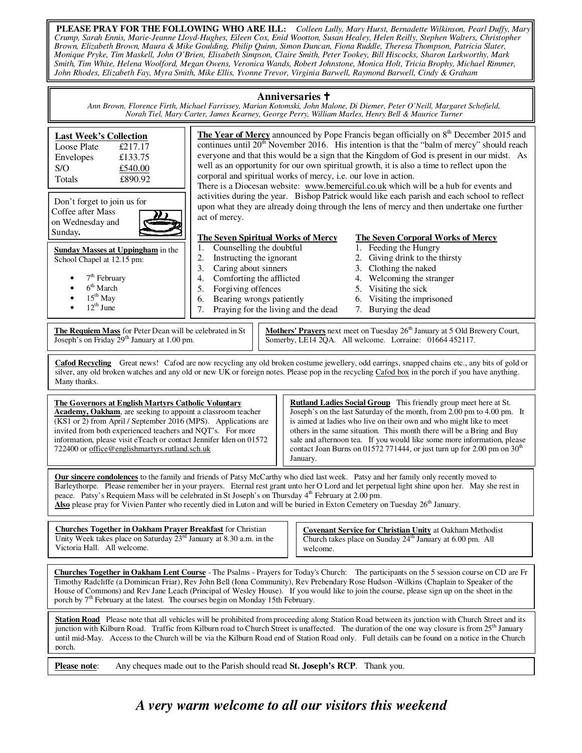**PLEASE PRAY FOR THE FOLLOWING WHO ARE ILL:** *Colleen Lully, Mary Hurst, Bernadette Wilkinson, Pearl Duffy, Mary Crump, Sarah Ennis, Marie-Jeanne Lloyd-Hughes, Eileen Cox, Enid Wootton, Susan Healey, Helen Reilly, Stephen Walters, Christopher Brown, Elizabeth Brown, Maura & Mike Goulding, Philip Quinn, Simon Duncan, Fiona Ruddle, Theresa Thompson, Patricia Slater, Monique Pryke, Tim Maskell, John O'Brien, Elisabeth Simpson, Claire Smith, Peter Tookey, Bill Hiscocks, Sharon Larkworthy, Mark Smith, Tim White, Helena Woolford, Megan Owens, Veronica Wands, Robert Johnstone, Monica Holt, Tricia Brophy, Michael Rimmer, John Rhodes, Elizabeth Fay, Myra Smith, Mike Ellis, Yvonne Trevor, Virginia Barwell, Raymond Barwell, Cindy & Graham*

## **Anniversaries**

*Ann Brown, Florence Firth, Michael Farrissey, Marian Kotomski, John Malone, Di Diemer, Peter O'Neill, Margaret Schofield, Norah Tiel, Mary Carter, James Kearney, George Perry, William Marles, Henry Bell & Maurice Turner* 

| <b>Last Week's Collection</b><br>£217.17<br>Loose Plate<br>£133.75<br>Envelopes<br>S/O<br>£540.00<br>£890.92<br>Totals<br>Don't forget to join us for                                                                                                                                                                                                                                                                                                                                                                                             | <b>The Year of Mercy</b> announced by Pope Francis began officially on 8 <sup>th</sup> December 2015 and<br>continues until 20 <sup>th</sup> November 2016. His intention is that the "balm of mercy" should reach<br>everyone and that this would be a sign that the Kingdom of God is present in our midst. As<br>well as an opportunity for our own spiritual growth, it is also a time to reflect upon the<br>corporal and spiritual works of mercy, i.e. our love in action.<br>There is a Diocesan website: www.bemerciful.co.uk which will be a hub for events and<br>activities during the year. Bishop Patrick would like each parish and each school to reflect<br>upon what they are already doing through the lens of mercy and then undertake one further |  |  |  |  |  |  |
|---------------------------------------------------------------------------------------------------------------------------------------------------------------------------------------------------------------------------------------------------------------------------------------------------------------------------------------------------------------------------------------------------------------------------------------------------------------------------------------------------------------------------------------------------|------------------------------------------------------------------------------------------------------------------------------------------------------------------------------------------------------------------------------------------------------------------------------------------------------------------------------------------------------------------------------------------------------------------------------------------------------------------------------------------------------------------------------------------------------------------------------------------------------------------------------------------------------------------------------------------------------------------------------------------------------------------------|--|--|--|--|--|--|
| Coffee after Mass<br>on Wednesday and                                                                                                                                                                                                                                                                                                                                                                                                                                                                                                             | act of mercy.                                                                                                                                                                                                                                                                                                                                                                                                                                                                                                                                                                                                                                                                                                                                                          |  |  |  |  |  |  |
| Sunday.                                                                                                                                                                                                                                                                                                                                                                                                                                                                                                                                           | <b>The Seven Spiritual Works of Mercy</b><br><b>The Seven Corporal Works of Mercy</b>                                                                                                                                                                                                                                                                                                                                                                                                                                                                                                                                                                                                                                                                                  |  |  |  |  |  |  |
| <b>Sunday Masses at Uppingham</b> in the                                                                                                                                                                                                                                                                                                                                                                                                                                                                                                          | Counselling the doubtful<br>1. Feeding the Hungry<br>1.                                                                                                                                                                                                                                                                                                                                                                                                                                                                                                                                                                                                                                                                                                                |  |  |  |  |  |  |
| School Chapel at 12.15 pm:                                                                                                                                                                                                                                                                                                                                                                                                                                                                                                                        | 2.<br>Instructing the ignorant<br>2. Giving drink to the thirsty<br>Caring about sinners<br>3. Clothing the naked<br>3.                                                                                                                                                                                                                                                                                                                                                                                                                                                                                                                                                                                                                                                |  |  |  |  |  |  |
| 7 <sup>th</sup> February                                                                                                                                                                                                                                                                                                                                                                                                                                                                                                                          | Comforting the afflicted<br>4. Welcoming the stranger<br>4.                                                                                                                                                                                                                                                                                                                                                                                                                                                                                                                                                                                                                                                                                                            |  |  |  |  |  |  |
| 6 <sup>th</sup> March                                                                                                                                                                                                                                                                                                                                                                                                                                                                                                                             | Forgiving offences<br>5.<br>5. Visiting the sick                                                                                                                                                                                                                                                                                                                                                                                                                                                                                                                                                                                                                                                                                                                       |  |  |  |  |  |  |
| $15th$ May<br>$12^{th}$ June                                                                                                                                                                                                                                                                                                                                                                                                                                                                                                                      | Bearing wrongs patiently<br>Visiting the imprisoned<br>6.<br>6.                                                                                                                                                                                                                                                                                                                                                                                                                                                                                                                                                                                                                                                                                                        |  |  |  |  |  |  |
|                                                                                                                                                                                                                                                                                                                                                                                                                                                                                                                                                   | Praying for the living and the dead<br>7. Burying the dead<br>7.                                                                                                                                                                                                                                                                                                                                                                                                                                                                                                                                                                                                                                                                                                       |  |  |  |  |  |  |
| Mothers' Prayers next meet on Tuesday 26 <sup>th</sup> January at 5 Old Brewery Court,<br>The Requiem Mass for Peter Dean will be celebrated in St<br>Joseph's on Friday 29 <sup>th</sup> January at 1.00 pm.<br>Somerby, LE14 2QA. All welcome. Lorraine: 01664 452117.                                                                                                                                                                                                                                                                          |                                                                                                                                                                                                                                                                                                                                                                                                                                                                                                                                                                                                                                                                                                                                                                        |  |  |  |  |  |  |
| Cafod Recycling Great news! Cafod are now recycling any old broken costume jewellery, odd earrings, snapped chains etc., any bits of gold or<br>silver, any old broken watches and any old or new UK or foreign notes. Please pop in the recycling Cafod box in the porch if you have anything.<br>Many thanks.                                                                                                                                                                                                                                   |                                                                                                                                                                                                                                                                                                                                                                                                                                                                                                                                                                                                                                                                                                                                                                        |  |  |  |  |  |  |
| <b>The Governors at English Martyrs Catholic Voluntary</b><br>Academy, Oakham, are seeking to appoint a classroom teacher<br>(KS1 or 2) from April / September 2016 (MPS). Applications are<br>invited from both experienced teachers and NQT's. For more<br>information, please visit eTeach or contact Jennifer Iden on 01572<br>722400 or office@englishmartyrs.rutland.sch.uk                                                                                                                                                                 | Rutland Ladies Social Group This friendly group meet here at St.<br>Joseph's on the last Saturday of the month, from 2.00 pm to 4.00 pm. It<br>is aimed at ladies who live on their own and who might like to meet<br>others in the same situation. This month there will be a Bring and Buy<br>sale and afternoon tea. If you would like some more information, please<br>contact Joan Burns on 01572 771444, or just turn up for 2.00 pm on $30th$<br>January.                                                                                                                                                                                                                                                                                                       |  |  |  |  |  |  |
| Our sincere condolences to the family and friends of Patsy McCarthy who died last week. Patsy and her family only recently moved to<br>Barleythorpe. Please remember her in your prayers. Eternal rest grant unto her O Lord and let perpetual light shine upon her. May she rest in<br>peace. Patsy's Requiem Mass will be celebrated in St Joseph's on Thursday 4 <sup>th</sup> February at 2.00 pm.<br>Also please pray for Vivien Panter who recently died in Luton and will be buried in Exton Cemetery on Tuesday 26 <sup>th</sup> January. |                                                                                                                                                                                                                                                                                                                                                                                                                                                                                                                                                                                                                                                                                                                                                                        |  |  |  |  |  |  |
| <b>Churches Together in Oakham Prayer Breakfast</b> for Christian<br>Unity Week takes place on Saturday $23^{rd}$ January at 8.30 a.m. in the<br>Victoria Hall. All welcome.                                                                                                                                                                                                                                                                                                                                                                      | <b>Covenant Service for Christian Unity at Oakham Methodist</b><br>Church takes place on Sunday 24 <sup>th</sup> January at 6.00 pm. All<br>welcome.                                                                                                                                                                                                                                                                                                                                                                                                                                                                                                                                                                                                                   |  |  |  |  |  |  |
| Churches Together in Oakham Lent Course - The Psalms - Prayers for Today's Church: The participants on the 5 session course on CD are Fr<br>Timothy Radcliffe (a Dominican Friar), Rev John Bell (Iona Community), Rev Prebendary Rose Hudson -Wilkins (Chaplain to Speaker of the<br>House of Commons) and Rev Jane Leach (Principal of Wesley House). If you would like to join the course, please sign up on the sheet in the<br>porch by 7 <sup>th</sup> February at the latest. The courses begin on Monday 15th February.                   |                                                                                                                                                                                                                                                                                                                                                                                                                                                                                                                                                                                                                                                                                                                                                                        |  |  |  |  |  |  |
| Station Road Please note that all vehicles will be prohibited from proceeding along Station Road between its junction with Church Street and its<br>junction with Kilburn Road. Traffic from Kilburn road to Church Street is unaffected. The duration of the one way closure is from 25 <sup>th</sup> January<br>until mid-May. Access to the Church will be via the Kilburn Road end of Station Road only. Full details can be found on a notice in the Church<br>porch.                                                                        |                                                                                                                                                                                                                                                                                                                                                                                                                                                                                                                                                                                                                                                                                                                                                                        |  |  |  |  |  |  |
| Any cheques made out to the Parish should read St. Joseph's RCP. Thank you.<br><b>Please note:</b>                                                                                                                                                                                                                                                                                                                                                                                                                                                |                                                                                                                                                                                                                                                                                                                                                                                                                                                                                                                                                                                                                                                                                                                                                                        |  |  |  |  |  |  |
| perso to all evenigitors this weekend                                                                                                                                                                                                                                                                                                                                                                                                                                                                                                             |                                                                                                                                                                                                                                                                                                                                                                                                                                                                                                                                                                                                                                                                                                                                                                        |  |  |  |  |  |  |

*A very warm welcome to all our visitors this weekend*